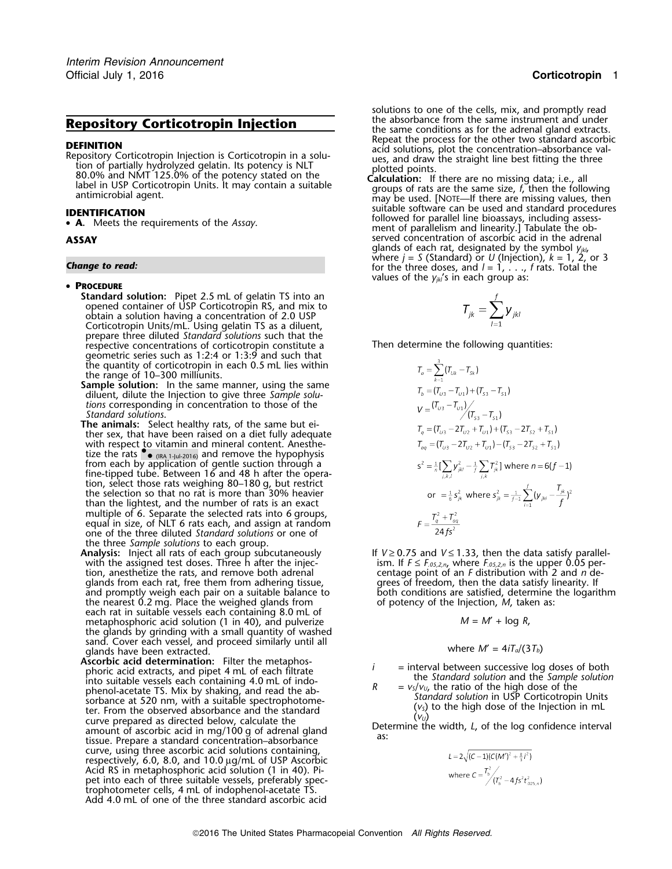**DEFINITION**<br>
Repository Corticotropin Injection is Corticotropin in a solu-<br>
tion of partially hydrolyzed gelatin. Its potency is NLT<br>
80.0% and NMT 125.0% of the potency stated on the<br>
label in USP Corticotropin Units. I

### •**PROCEDURE**

- **Standard solution:** Pipet 2.5 mL of gelatin TS into an opened container of USP Corticotropin RS, and mix to obtain a solution having a concentration of 2.0 USP Corticotropin Units/mL. Using gelatin TS as a diluent, prepare three diluted *Standard solutions* such that the respective concentrations of corticotropin constitute a Then determine the following quantities: geometric series such as 1:2:4 or 1:3:9 and such that the quantity of corticotropin in each 0.5 mL lies within the range of 10–300 milliunits.
- **Sample solution:** In the same manner, using the same diluent, dilute the Injection to give three *Sample solutions* corresponding in concentration to those of the *Standard solutions*.
- **The animals:** Select healthy rats, of the same but either sex, that have been raised on a diet fully adequate with respect to vitamin and mineral content. Anesthetize the rats  $\bullet$  (IRA 1-Jul-2016) and remove the hypophysis from each by application of gentle suction through a fine-tipped tube. Between 16 and 48 h after the operation, select those rats weighing 80–180 g, but restrict the selection so that no rat is more than 30% heavier than the lightest, and the number of rats is an exact multiple of 6. Separate the selected rats into 6 groups, equal in size, of NLT 6 rats each, and assign at random one of the three diluted *Standard solutions* or one of the three *Sample solutions* to each group.
- **Analysis:** Inject all rats of each group subcutaneously If *V* ≥ 0.75 and *V* ≤ 1.33, then the data satisfy parallel-<br>with the assigned test doses. Three h after the injec-<br>ism. If  $F \le F_{.05,2n}$ , where  $F_{.05,2n}$  is t tion, anesthetize the rats, and remove both adrenal glands from each rat, free them from adhering tissue, and promptly weigh each pair on a suitable balance to both conditions are satisfied, determine the logarithm the nearest 0.2 mg. Place the weighed glands from of potency of the Injection, *M*, taken as: each rat in suitable vessels each containing 8.0 mL of metaphosphoric acid solution (1 in 40), and pulverize *M* the glands by grinding with a small quantity of washed sand. Cover each vessel, and proceed similarly until all<br>glands have been extracted.<br>**Ascorbic acid determination:** Filter the metaphos-
- **Ascorbic acid determination:** Filter the metaphos-<br>
phoric acid extracts, and pipet 4 mL of each filtrate<br>
into suitable vessels each containing 4.0 mL of indo-<br>
phenol-acetate TS. Mix by shaking, and read the ab-<br>
sorba curve, using three ascorbic acid solutions containing, respectively, 6.0, 8.0, and 10.0 µg/mL of USP Ascorbic Acid RS in metaphosphoric acid solution (1 in 40). Pipet into each of three suitable vessels, preferably spectrophotometer cells, 4 mL of indophenol-acetate TS. Add 4.0 mL of one of the three standard ascorbic acid

solutions to one of the cells, mix, and promptly read the absorbance from the same instrument and under **Repository Corticotropin Injection**<br>the same conditions as for the adrenal gland extracts.<br>Repeat the process for the other two standard ascorbic

**IDENTIFICATION**<br> **IDENTIFICATION** suitable software can be used and standard procedures<br> **A.** Meets the requirements of the Assay.<br> **A.** Meets the requirements of the Assay. **ment of parallelism and linearity.] Tabulate the ob-ASSAY** Served concentration of ascorbic acid in the adrenal glands of each rat, designated by the symbol *yjkl*, where *<sup>j</sup>* <sup>=</sup>*S* (Standard) or *U* (Injection), *<sup>k</sup>* = 1, 2, or 3 *Change to read:* for the three doses, and *<sup>l</sup>* = 1, . . ., *f* rats. Total the values of the  $y_{ik}/s$  in each group as:

$$
\mathcal{T}_{jk} = \sum_{l=1}^f \bm{y}_{jkl}
$$

$$
T_o = \sum_{k=1}^{5} (T_{Uk} - T_{Sk})
$$
  
\n
$$
T_b = (T_{U3} - T_{U1}) + (T_{S3} - T_{S1})
$$
  
\n
$$
V = (T_{U3} - T_{U1}) / (T_{S3} - T_{S1})
$$
  
\n
$$
T_q = (T_{U3} - 2T_{U2} + T_{U1}) + (T_{S3} - 2T_{S2} + T_{S1})
$$
  
\n
$$
T_{oq} = (T_{U3} - 2T_{U2} + T_{U1}) - (T_{S3} - 2T_{S2} + T_{S1})
$$
  
\n
$$
S^2 = \frac{1}{n} \left[ \sum_{j,k,l} y_{jk}^2 - \frac{1}{f} \sum_{j,k} T_{jk}^2 \right] \text{ where } n = 6(f - 1)
$$
  
\nor  $= \frac{1}{6} s_{jk}^2 \text{ where } s_{jk}^2 = \frac{1}{f - 1} \sum_{l=1}^{f} (y_{jkl} - \frac{T_{jk}}{f})^2$   
\n
$$
F = \frac{T_q^2 + T_{oq}^2}{24 f s^2}
$$

ism. If *F* ≤ *F.05,2,n*, where *F.05,2,n* is the upper 0.05 percentage point of an *F* distribution with 2 and *n* degrees of freedom, then the data satisfy linearity. If

$$
M = M' + \log R,
$$

where 
$$
M' = 4iT_a/(3T_b)
$$

$$
L = 2\sqrt{(C-1)(C(M')^{2} + \frac{8}{3}i^{2})}
$$
  
where  $C = \frac{T_{b}^{2}}{(T_{b}^{2} - 4fs^{2}t_{.025,n}^{2})}$